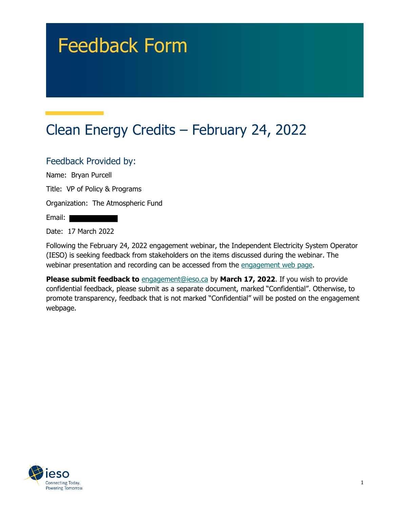# Feedback Form

# Clean Energy Credits – February 24, 2022

#### Feedback Provided by:

Name: Bryan Purcell

Title: VP of Policy & Programs

Organization: The Atmospheric Fund

Email:

Date: 17 March 2022

Following the February 24, 2022 engagement webinar, the Independent Electricity System Operator (IESO) is seeking feedback from stakeholders on the items discussed during the webinar. The webinar presentation and recording can be accessed from the engagement web page.

**Please submit feedback to** engagement@ieso.ca by March 17, 2022. If you wish to provide confidential feedback, please submit as a separate document, marked "Confidential". Otherwise, to promote transparency, feedback that is not marked "Confidential" will be posted on the engagement webpage.

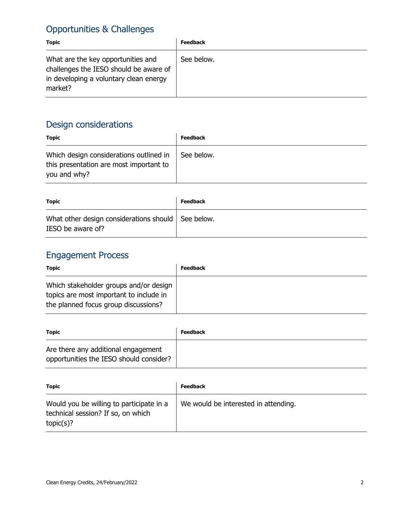## Opportunities & Challenges

| <b>Topic</b>                                                                                                                      | <b>Feedback</b> |
|-----------------------------------------------------------------------------------------------------------------------------------|-----------------|
| What are the key opportunities and<br>challenges the IESO should be aware of<br>in developing a voluntary clean energy<br>market? | See below.      |

## Design considerations

| <b>Topic</b>                                                                                       | <b>Feedback</b> |
|----------------------------------------------------------------------------------------------------|-----------------|
| Which design considerations outlined in<br>this presentation are most important to<br>you and why? | See below.      |
|                                                                                                    |                 |

| <b>Topic</b>                                                              | <b>Feedback</b> |
|---------------------------------------------------------------------------|-----------------|
| What other design considerations should   See below.<br>IESO be aware of? |                 |

## Engagement Process

| <b>Topic</b>                                                                                                              | <b>Feedback</b> |
|---------------------------------------------------------------------------------------------------------------------------|-----------------|
| Which stakeholder groups and/or design<br>topics are most important to include in<br>the planned focus group discussions? |                 |

| <b>Topic</b>                                                                   | <b>Feedback</b> |
|--------------------------------------------------------------------------------|-----------------|
| Are there any additional engagement<br>opportunities the IESO should consider? |                 |

| <b>Topic</b>                                                                                | <b>Feedback</b>                      |
|---------------------------------------------------------------------------------------------|--------------------------------------|
| Would you be willing to participate in a<br>technical session? If so, on which<br>topic(s)? | We would be interested in attending. |